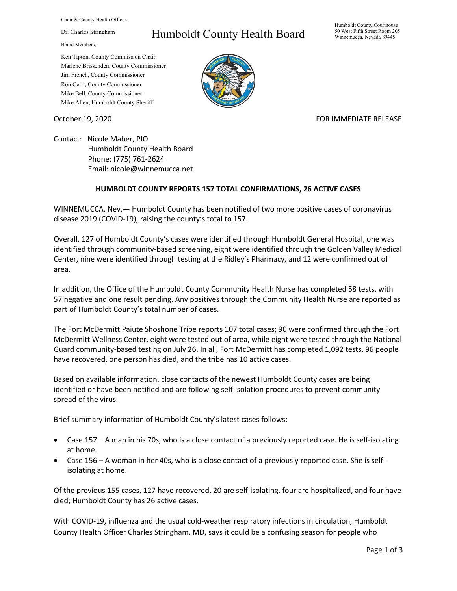Chair & County Health Officer,

Dr. Charles Stringham

Board Members,

## Humboldt County Health Board

Humboldt County Courthouse 50 West Fifth Street Room 205 Winnemucca, Nevada 89445

Ken Tipton, County Commission Chair Marlene Brissenden, County Commissioner Jim French, County Commissioner Ron Cerri, County Commissioner Mike Bell, County Commissioner Mike Allen, Humboldt County Sheriff



October 19, 2020 **FOR IMMEDIATE RELEASE** 

Contact: Nicole Maher, PIO Humboldt County Health Board Phone: (775) 761-2624 Email: nicole@winnemucca.net

## **HUMBOLDT COUNTY REPORTS 157 TOTAL CONFIRMATIONS, 26 ACTIVE CASES**

WINNEMUCCA, Nev.— Humboldt County has been notified of two more positive cases of coronavirus disease 2019 (COVID-19), raising the county's total to 157.

Overall, 127 of Humboldt County's cases were identified through Humboldt General Hospital, one was identified through community-based screening, eight were identified through the Golden Valley Medical Center, nine were identified through testing at the Ridley's Pharmacy, and 12 were confirmed out of area.

In addition, the Office of the Humboldt County Community Health Nurse has completed 58 tests, with 57 negative and one result pending. Any positives through the Community Health Nurse are reported as part of Humboldt County's total number of cases.

The Fort McDermitt Paiute Shoshone Tribe reports 107 total cases; 90 were confirmed through the Fort McDermitt Wellness Center, eight were tested out of area, while eight were tested through the National Guard community-based testing on July 26. In all, Fort McDermitt has completed 1,092 tests, 96 people have recovered, one person has died, and the tribe has 10 active cases.

Based on available information, close contacts of the newest Humboldt County cases are being identified or have been notified and are following self-isolation procedures to prevent community spread of the virus.

Brief summary information of Humboldt County's latest cases follows:

- Case 157 A man in his 70s, who is a close contact of a previously reported case. He is self-isolating at home.
- Case 156 A woman in her 40s, who is a close contact of a previously reported case. She is selfisolating at home.

Of the previous 155 cases, 127 have recovered, 20 are self-isolating, four are hospitalized, and four have died; Humboldt County has 26 active cases.

With COVID-19, influenza and the usual cold-weather respiratory infections in circulation, Humboldt County Health Officer Charles Stringham, MD, says it could be a confusing season for people who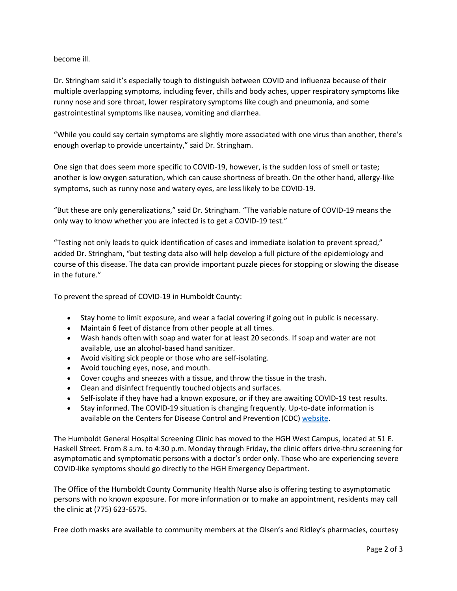## become ill.

Dr. Stringham said it's especially tough to distinguish between COVID and influenza because of their multiple overlapping symptoms, including fever, chills and body aches, upper respiratory symptoms like runny nose and sore throat, lower respiratory symptoms like cough and pneumonia, and some gastrointestinal symptoms like nausea, vomiting and diarrhea.

"While you could say certain symptoms are slightly more associated with one virus than another, there's enough overlap to provide uncertainty," said Dr. Stringham.

One sign that does seem more specific to COVID-19, however, is the sudden loss of smell or taste; another is low oxygen saturation, which can cause shortness of breath. On the other hand, allergy-like symptoms, such as runny nose and watery eyes, are less likely to be COVID-19.

"But these are only generalizations," said Dr. Stringham. "The variable nature of COVID-19 means the only way to know whether you are infected is to get a COVID-19 test."

"Testing not only leads to quick identification of cases and immediate isolation to prevent spread," added Dr. Stringham, "but testing data also will help develop a full picture of the epidemiology and course of this disease. The data can provide important puzzle pieces for stopping or slowing the disease in the future."

To prevent the spread of COVID-19 in Humboldt County:

- Stay home to limit exposure, and wear a facial covering if going out in public is necessary.
- Maintain 6 feet of distance from other people at all times.
- Wash hands often with soap and water for at least 20 seconds. If soap and water are not available, use an alcohol-based hand sanitizer.
- Avoid visiting sick people or those who are self-isolating.
- Avoid touching eyes, nose, and mouth.
- Cover coughs and sneezes with a tissue, and throw the tissue in the trash.
- Clean and disinfect frequently touched objects and surfaces.
- Self-isolate if they have had a known exposure, or if they are awaiting COVID-19 test results.
- Stay informed. The COVID-19 situation is changing frequently. Up-to-date information is available on the Centers for Disease Control and Prevention (CDC) [website.](http://www.cdc.gov/coronavirus/2019-ncov/index.html)

The Humboldt General Hospital Screening Clinic has moved to the HGH West Campus, located at 51 E. Haskell Street. From 8 a.m. to 4:30 p.m. Monday through Friday, the clinic offers drive-thru screening for asymptomatic and symptomatic persons with a doctor's order only. Those who are experiencing severe COVID-like symptoms should go directly to the HGH Emergency Department.

The Office of the Humboldt County Community Health Nurse also is offering testing to asymptomatic persons with no known exposure. For more information or to make an appointment, residents may call the clinic at (775) 623-6575.

Free cloth masks are available to community members at the Olsen's and Ridley's pharmacies, courtesy